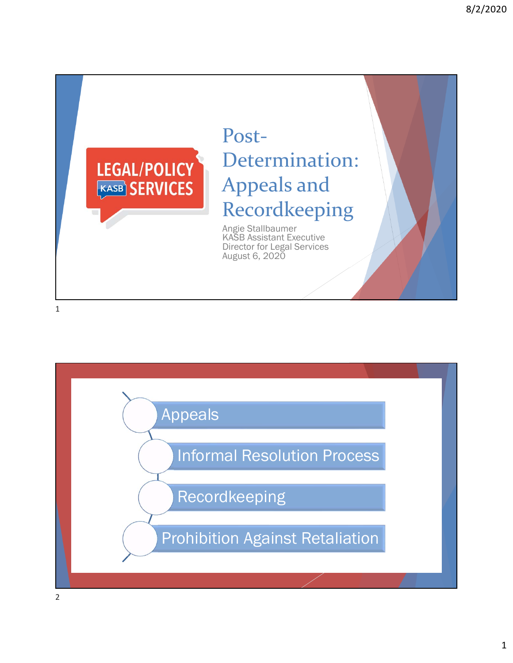

# Post-Determination: Appeals and Recordkeeping

Angie Stallbaumer KASB Assistant Executive Director for Legal Services August 6, 2020

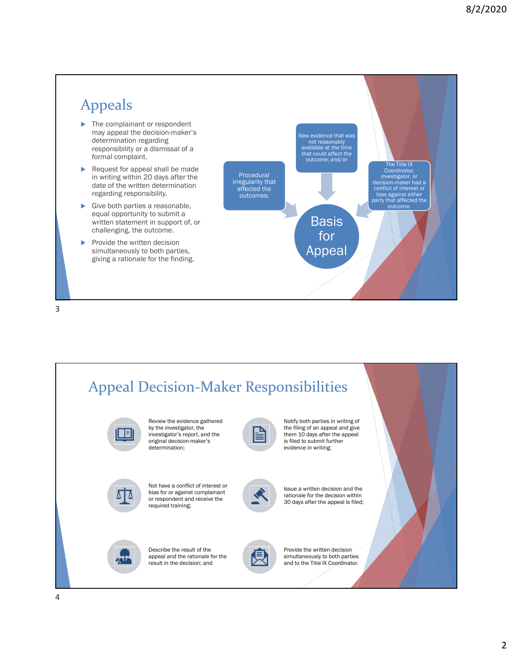#### Appeals ▶ The complainant or respondent may appeal the decision-maker's determination regarding responsibility or a dismissal of a formal complaint. Request for appeal shall be made in writing within 20 days after the date of the written determination regarding responsibility. Give both parties a reasonable, equal opportunity to submit a written statement in support of, or challenging, the outcome.  $\blacktriangleright$  Provide the written decision simultaneously to both parties, giving a rationale for the finding. **Basis** for Appeal Procedural irregularity that affected the outcomes; New evidence that was not reasonably available at the time that could affect the<br>outcome; and/or The Title IX Coordinator,<br>
investigator, or<br>
decision-maker had a<br>
conflict of interest or<br>
bias against either<br>
party that affected the outcome.

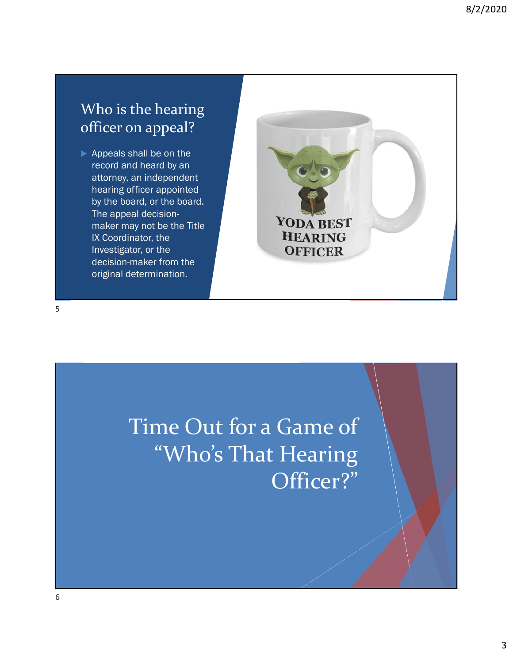### Who is the hearing officer on appeal?

Appeals shall be on the record and heard by an attorney, an independent hearing officer appointed by the board, or the board. The appeal decisionmaker may not be the Title IX Coordinator, the Investigator, or the decision-maker from the original determination.



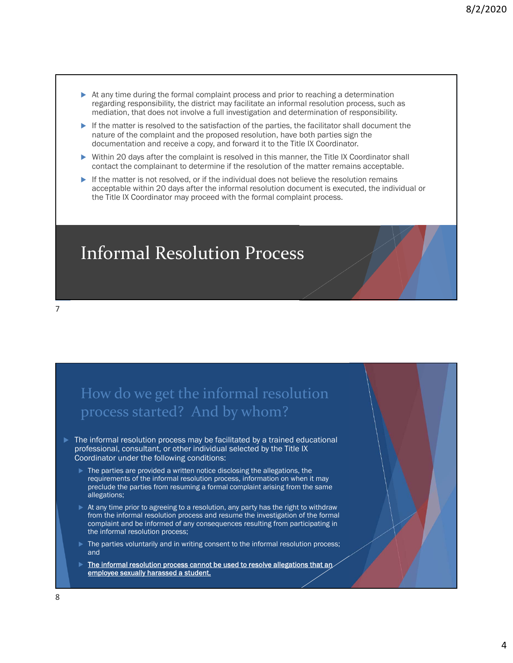- At any time during the formal complaint process and prior to reaching a determination regarding responsibility, the district may facilitate an informal resolution process, such as mediation, that does not involve a full investigation and determination of responsibility.
- $\blacktriangleright$  If the matter is resolved to the satisfaction of the parties, the facilitator shall document the nature of the complaint and the proposed resolution, have both parties sign the documentation and receive a copy, and forward it to the Title IX Coordinator.
- Within 20 days after the complaint is resolved in this manner, the Title IX Coordinator shall contact the complainant to determine if the resolution of the matter remains acceptable.
- $\blacktriangleright$  If the matter is not resolved, or if the individual does not believe the resolution remains acceptable within 20 days after the informal resolution document is executed, the individual or the Title IX Coordinator may proceed with the formal complaint process.

Informal Resolution Process

#### How do we get the informal resolution process started? And by whom?

- The informal resolution process may be facilitated by a trained educational professional, consultant, or other individual selected by the Title IX Coordinator under the following conditions:
	- The parties are provided a written notice disclosing the allegations, the requirements of the informal resolution process, information on when it may preclude the parties from resuming a formal complaint arising from the same allegations;
	- At any time prior to agreeing to a resolution, any party has the right to withdraw from the informal resolution process and resume the investigation of the formal complaint and be informed of any consequences resulting from participating in the informal resolution process;
	- The parties voluntarily and in writing consent to the informal resolution process; and
	- The informal resolution process cannot be used to resolve allegations that an employee sexually harassed a student.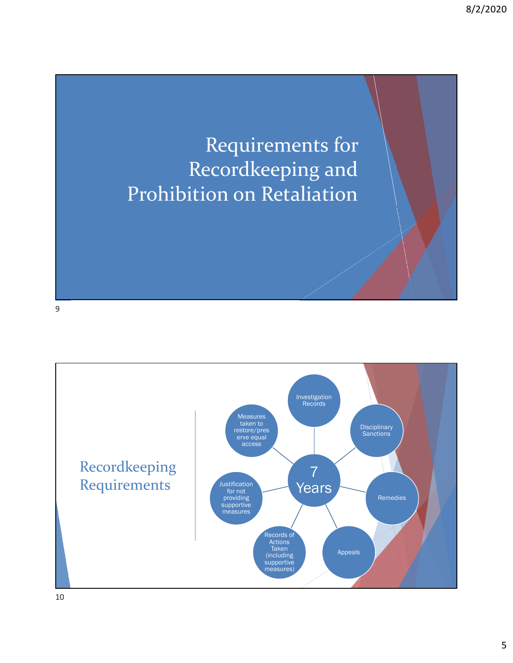## Requirements for Recordkeeping and Prohibition on Retaliation

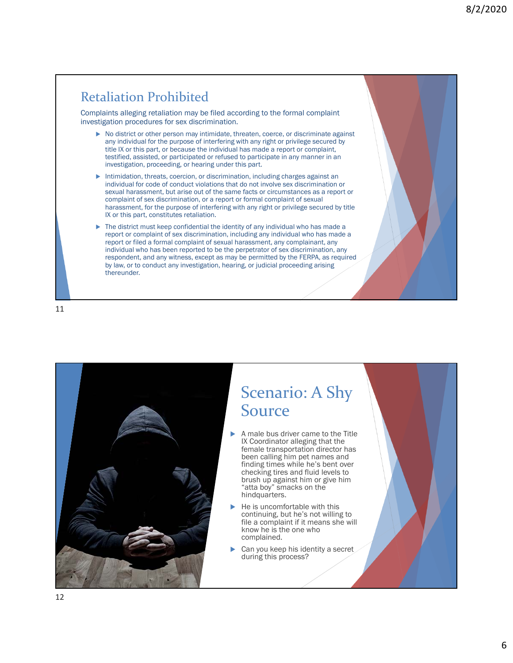### Retaliation Prohibited

Complaints alleging retaliation may be filed according to the formal complaint investigation procedures for sex discrimination.

- ▶ No district or other person may intimidate, threaten, coerce, or discriminate against any individual for the purpose of interfering with any right or privilege secured by title IX or this part, or because the individual has made a report or complaint, testified, assisted, or participated or refused to participate in any manner in an investigation, proceeding, or hearing under this part.
- Intimidation, threats, coercion, or discrimination, including charges against an individual for code of conduct violations that do not involve sex discrimination or sexual harassment, but arise out of the same facts or circumstances as a report or complaint of sex discrimination, or a report or formal complaint of sexual harassment, for the purpose of interfering with any right or privilege secured by title IX or this part, constitutes retaliation.
- $\blacktriangleright$  The district must keep confidential the identity of any individual who has made a report or complaint of sex discrimination, including any individual who has made a report or filed a formal complaint of sexual harassment, any complainant, any individual who has been reported to be the perpetrator of sex discrimination, any respondent, and any witness, except as may be permitted by the FERPA, as required by law, or to conduct any investigation, hearing, or judicial proceeding arising thereunder.

11



## Scenario: A Shy Source

- A male bus driver came to the Title IX Coordinator alleging that the female transportation director has been calling him pet names and finding times while he's bent over checking tires and fluid levels to brush up against him or give him "atta boy" smacks on the hindquarters.
- He is uncomfortable with this continuing, but he's not willing to file a complaint if it means she will know he is the one who complained.
- Can you keep his identity a secret during this process?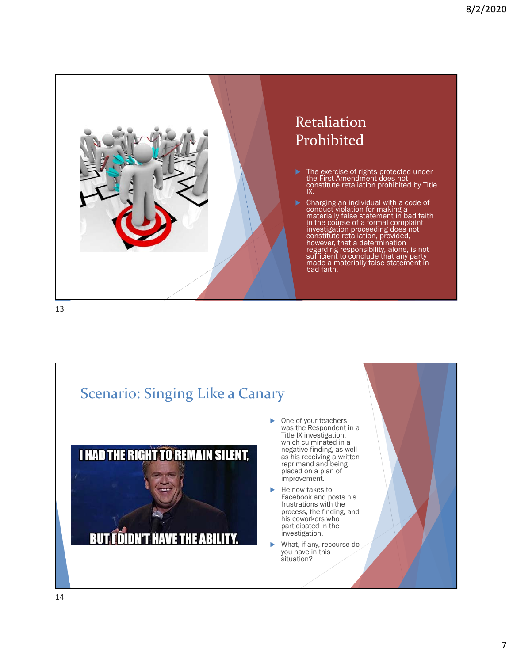